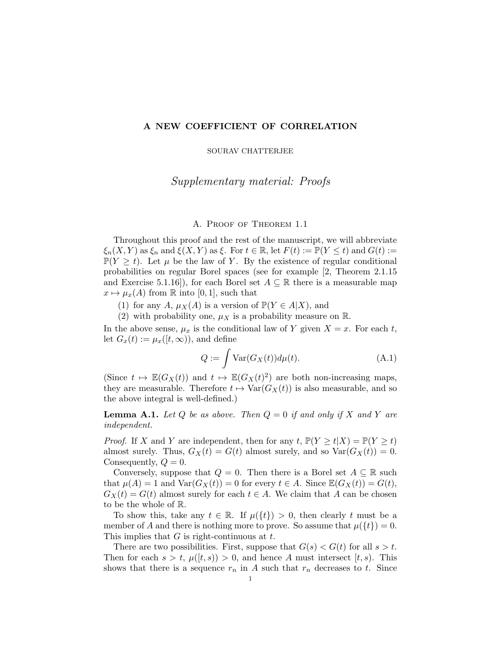## A NEW COEFFICIENT OF CORRELATION

SOURAV CHATTERJEE

# Supplementary material: Proofs

## A. Proof of Theorem 1.1

Throughout this proof and the rest of the manuscript, we will abbreviate  $\xi_n(X, Y)$  as  $\xi_n$  and  $\xi(X, Y)$  as  $\xi$ . For  $t \in \mathbb{R}$ , let  $F(t) := \mathbb{P}(Y \leq t)$  and  $G(t) :=$  $\mathbb{P}(Y \geq t)$ . Let  $\mu$  be the law of Y. By the existence of regular conditional probabilities on regular Borel spaces (see for example [2, Theorem 2.1.15 and Exercise 5.1.16]), for each Borel set  $A \subseteq \mathbb{R}$  there is a measurable map  $x \mapsto \mu_x(A)$  from R into [0, 1], such that

(1) for any A,  $\mu_X(A)$  is a version of  $\mathbb{P}(Y \in A \mid X)$ , and

(2) with probability one,  $\mu_X$  is a probability measure on R.

In the above sense,  $\mu_x$  is the conditional law of Y given  $X = x$ . For each t, let  $G_x(t) := \mu_x([t, \infty))$ , and define

$$
Q := \int \text{Var}(G_X(t))d\mu(t). \tag{A.1}
$$

(Since  $t \mapsto \mathbb{E}(G_X(t))$  and  $t \mapsto \mathbb{E}(G_X(t)^2)$  are both non-increasing maps, they are measurable. Therefore  $t \mapsto \text{Var}(G_X(t))$  is also measurable, and so the above integral is well-defined.)

**Lemma A.1.** Let Q be as above. Then  $Q = 0$  if and only if X and Y are *independent.*

*Proof.* If X and Y are independent, then for any  $t$ ,  $\mathbb{P}(Y \ge t | X) = \mathbb{P}(Y \ge t)$ almost surely. Thus,  $G_X(t) = G(t)$  almost surely, and so  $Var(G_X(t)) = 0$ . Consequently,  $Q = 0$ .

Conversely, suppose that  $Q = 0$ . Then there is a Borel set  $A \subseteq \mathbb{R}$  such that  $\mu(A) = 1$  and  $\text{Var}(G_X(t)) = 0$  for every  $t \in A$ . Since  $\mathbb{E}(G_X(t)) = G(t)$ ,  $G_X(t) = G(t)$  almost surely for each  $t \in A$ . We claim that A can be chosen to be the whole of R.

To show this, take any  $t \in \mathbb{R}$ . If  $\mu({t}) > 0$ , then clearly t must be a member of A and there is nothing more to prove. So assume that  $\mu({t}) = 0$ . This implies that  $G$  is right-continuous at  $t$ .

There are two possibilities. First, suppose that  $G(s) < G(t)$  for all  $s > t$ . Then for each  $s > t$ ,  $\mu([t, s)) > 0$ , and hence A must intersect  $[t, s)$ . This shows that there is a sequence  $r_n$  in A such that  $r_n$  decreases to t. Since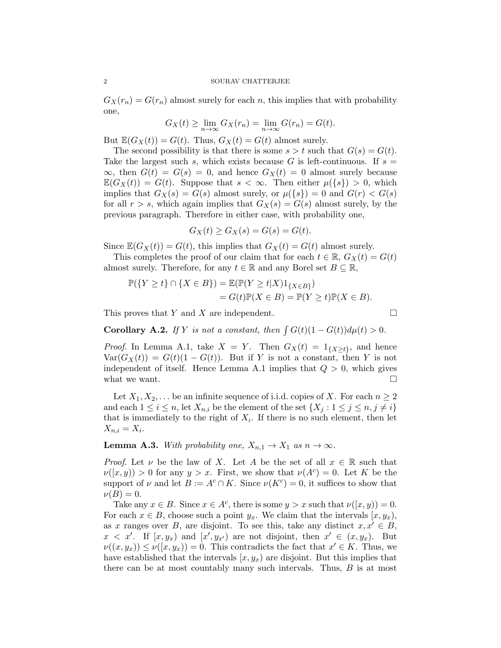$G_X(r_n) = G(r_n)$  almost surely for each n, this implies that with probability one,

$$
G_X(t) \ge \lim_{n \to \infty} G_X(r_n) = \lim_{n \to \infty} G(r_n) = G(t).
$$

But  $\mathbb{E}(G_X(t)) = G(t)$ . Thus,  $G_X(t) = G(t)$  almost surely.

The second possibility is that there is some  $s > t$  such that  $G(s) = G(t)$ . Take the largest such s, which exists because G is left-continuous. If  $s =$  $\infty$ , then  $G(t) = G(s) = 0$ , and hence  $G_X(t) = 0$  almost surely because  $\mathbb{E}(G_X(t)) = G(t)$ . Suppose that  $s < \infty$ . Then either  $\mu({s}) > 0$ , which implies that  $G_X(s) = G(s)$  almost surely, or  $\mu({s}) = 0$  and  $G(r) < G(s)$ for all  $r > s$ , which again implies that  $G_X(s) = G(s)$  almost surely, by the previous paragraph. Therefore in either case, with probability one,

$$
G_X(t) \ge G_X(s) = G(s) = G(t).
$$

Since  $\mathbb{E}(G_X(t)) = G(t)$ , this implies that  $G_X(t) = G(t)$  almost surely.

This completes the proof of our claim that for each  $t \in \mathbb{R}$ ,  $G_X(t) = G(t)$ almost surely. Therefore, for any  $t \in \mathbb{R}$  and any Borel set  $B \subseteq \mathbb{R}$ ,

$$
\mathbb{P}(\{Y \ge t\} \cap \{X \in B\}) = \mathbb{E}(\mathbb{P}(Y \ge t | X)1_{\{X \in B\}})
$$
  
=  $G(t)\mathbb{P}(X \in B) = \mathbb{P}(Y \ge t)\mathbb{P}(X \in B).$ 

This proves that Y and X are independent.  $\square$ 

**Corollary A.2.** *If* Y *is not a constant, then*  $\int G(t)(1 - G(t))d\mu(t) > 0$ *.* 

*Proof.* In Lemma A.1, take  $X = Y$ . Then  $G_X(t) = 1_{\{X \ge t\}}$ , and hence  $Var(G_X(t)) = G(t)(1 - G(t)).$  But if Y is not a constant, then Y is not independent of itself. Hence Lemma A.1 implies that  $Q > 0$ , which gives what we want.  $\Box$ 

Let  $X_1, X_2, \ldots$  be an infinite sequence of i.i.d. copies of X. For each  $n \geq 2$ and each  $1 \leq i \leq n$ , let  $X_{n,i}$  be the element of the set  $\{X_j : 1 \leq j \leq n, j \neq i\}$ that is immediately to the right of  $X_i$ . If there is no such element, then let  $X_{n,i}=X_i.$ 

**Lemma A.3.** *With probability one,*  $X_{n,1} \to X_1$  *as*  $n \to \infty$ *.* 

*Proof.* Let  $\nu$  be the law of X. Let A be the set of all  $x \in \mathbb{R}$  such that  $\nu([x,y)) > 0$  for any  $y > x$ . First, we show that  $\nu(A<sup>c</sup>) = 0$ . Let K be the support of  $\nu$  and let  $B := A^c \cap K$ . Since  $\nu(K^c) = 0$ , it suffices to show that  $\nu(B) = 0.$ 

Take any  $x \in B$ . Since  $x \in A^c$ , there is some  $y > x$  such that  $\nu([x, y)) = 0$ . For each  $x \in B$ , choose such a point  $y_x$ . We claim that the intervals  $[x, y_x)$ , as x ranges over B, are disjoint. To see this, take any distinct  $x, x' \in B$ ,  $x < x'$ . If  $[x, y_x]$  and  $[x', y_{x'}]$  are not disjoint, then  $x' \in (x, y_x)$ . But  $\nu((x,y_x)) \leq \nu([x,y_x)) = 0.$  This contradicts the fact that  $x' \in K$ . Thus, we have established that the intervals  $(x, y_x)$  are disjoint. But this implies that there can be at most countably many such intervals. Thus, B is at most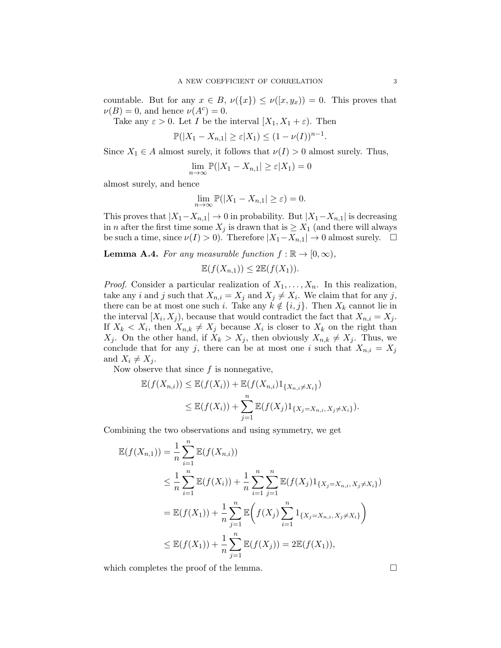countable. But for any  $x \in B$ ,  $\nu({x}) \leq \nu({x, y_x}) = 0$ . This proves that  $\nu(B) = 0$ , and hence  $\nu(A^c) = 0$ .

Take any  $\varepsilon > 0$ . Let I be the interval  $[X_1, X_1 + \varepsilon]$ . Then

 $\mathbb{P}(|X_1 - X_{n,1}| \geq \varepsilon |X_1) \leq (1 - \nu(I))^{n-1}.$ 

Since  $X_1 \in A$  almost surely, it follows that  $\nu(I) > 0$  almost surely. Thus,

$$
\lim_{n \to \infty} \mathbb{P}(|X_1 - X_{n,1}| \ge \varepsilon |X_1) = 0
$$

almost surely, and hence

$$
\lim_{n \to \infty} \mathbb{P}(|X_1 - X_{n,1}| \ge \varepsilon) = 0.
$$

This proves that  $|X_1 - X_{n,1}| \to 0$  in probability. But  $|X_1 - X_{n,1}|$  is decreasing in *n* after the first time some  $X_j$  is drawn that is  $\geq X_1$  (and there will always be such a time, since  $\nu(I) > 0$ . Therefore  $|X_1 - X_{n,1}| \to 0$  almost surely.  $\Box$ 

**Lemma A.4.** *For any measurable function*  $f : \mathbb{R} \to [0, \infty)$ *,* 

$$
\mathbb{E}(f(X_{n,1})) \leq 2\mathbb{E}(f(X_1)).
$$

*Proof.* Consider a particular realization of  $X_1, \ldots, X_n$ . In this realization, take any *i* and *j* such that  $X_{n,i} = X_j$  and  $X_j \neq X_i$ . We claim that for any *j*, there can be at most one such i. Take any  $k \notin \{i, j\}$ . Then  $X_k$  cannot lie in the interval  $[X_i, X_j]$ , because that would contradict the fact that  $X_{n,i} = X_j$ . If  $X_k < X_i$ , then  $X_{n,k} \neq X_j$  because  $X_i$  is closer to  $X_k$  on the right than  $X_i$ . On the other hand, if  $X_k > X_j$ , then obviously  $X_{n,k} \neq X_j$ . Thus, we conclude that for any j, there can be at most one i such that  $X_{n,i} = X_j$ and  $X_i \neq X_j$ .

Now observe that since  $f$  is nonnegative,

$$
\mathbb{E}(f(X_{n,i})) \leq \mathbb{E}(f(X_i)) + \mathbb{E}(f(X_{n,i})1_{\{X_{n,i} \neq X_i\}}) \leq \mathbb{E}(f(X_i)) + \sum_{j=1}^n \mathbb{E}(f(X_j)1_{\{X_j = X_{n,i}, X_j \neq X_i\}}).
$$

Combining the two observations and using symmetry, we get

$$
\mathbb{E}(f(X_{n,1})) = \frac{1}{n} \sum_{i=1}^{n} \mathbb{E}(f(X_{n,i}))
$$
\n
$$
\leq \frac{1}{n} \sum_{i=1}^{n} \mathbb{E}(f(X_i)) + \frac{1}{n} \sum_{i=1}^{n} \sum_{j=1}^{n} \mathbb{E}(f(X_j)1_{\{X_j = X_{n,i}, X_j \neq X_i\}})
$$
\n
$$
= \mathbb{E}(f(X_1)) + \frac{1}{n} \sum_{j=1}^{n} \mathbb{E}\left(f(X_j) \sum_{i=1}^{n} 1_{\{X_j = X_{n,i}, X_j \neq X_i\}}\right)
$$
\n
$$
\leq \mathbb{E}(f(X_1)) + \frac{1}{n} \sum_{j=1}^{n} \mathbb{E}(f(X_j)) = 2\mathbb{E}(f(X_1)),
$$

which completes the proof of the lemma.  $\Box$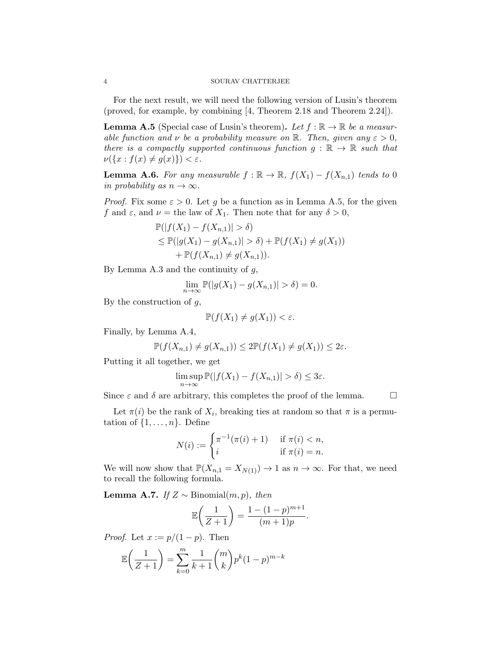### 4 SOURAV CHATTERJEE

For the next result, we will need the following version of Lusin's theorem (proved, for example, by combining [4, Theorem 2.18 and Theorem 2.24]).

**Lemma A.5** (Special case of Lusin's theorem). Let  $f : \mathbb{R} \to \mathbb{R}$  be a measur*able function and*  $\nu$  *be a probability measure on* R. Then, given any  $\varepsilon > 0$ , *there is a compactly supported continuous function*  $g : \mathbb{R} \to \mathbb{R}$  *such that*  $\nu(\lbrace x : f(x) \neq g(x) \rbrace) < \varepsilon.$ 

**Lemma A.6.** *For any measurable*  $f : \mathbb{R} \to \mathbb{R}$ ,  $f(X_1) - f(X_{n,1})$  *tends to* 0 *in probability as*  $n \to \infty$ *.* 

*Proof.* Fix some  $\varepsilon > 0$ . Let g be a function as in Lemma A.5, for the given f and  $\varepsilon$ , and  $\nu$  = the law of  $X_1$ . Then note that for any  $\delta > 0$ ,

$$
\mathbb{P}(|f(X_1) - f(X_{n,1})| > \delta)
$$
  
\n
$$
\leq \mathbb{P}(|g(X_1) - g(X_{n,1})| > \delta) + \mathbb{P}(f(X_1) \neq g(X_1))
$$
  
\n
$$
+ \mathbb{P}(f(X_{n,1}) \neq g(X_{n,1})).
$$

By Lemma A.3 and the continuity of  $g$ ,

$$
\lim_{n \to \infty} \mathbb{P}(|g(X_1) - g(X_{n,1})| > \delta) = 0.
$$

By the construction of  $q$ ,

$$
\mathbb{P}(f(X_1) \neq g(X_1)) < \varepsilon.
$$

Finally, by Lemma A.4,

$$
\mathbb{P}(f(X_{n,1}) \neq g(X_{n,1})) \leq 2\mathbb{P}(f(X_1) \neq g(X_1)) \leq 2\varepsilon.
$$

Putting it all together, we get

$$
\limsup_{n\to\infty} \mathbb{P}(|f(X_1) - f(X_{n,1})| > \delta) \leq 3\varepsilon.
$$

Since  $\varepsilon$  and  $\delta$  are arbitrary, this completes the proof of the lemma.  $\Box$ 

Let  $\pi(i)$  be the rank of  $X_i$ , breaking ties at random so that  $\pi$  is a permutation of  $\{1, \ldots, n\}$ . Define

$$
N(i) := \begin{cases} \pi^{-1}(\pi(i) + 1) & \text{if } \pi(i) < n, \\ i & \text{if } \pi(i) = n. \end{cases}
$$

We will now show that  $\mathbb{P}(X_{n,1} = X_{N(1)}) \to 1$  as  $n \to \infty$ . For that, we need to recall the following formula.

**Lemma A.7.** *If*  $Z ∼$  Binomial $(m, p)$ *, then* 

$$
\mathbb{E}\left(\frac{1}{Z+1}\right) = \frac{1 - (1-p)^{m+1}}{(m+1)p}.
$$

*Proof.* Let  $x := p/(1-p)$ . Then

$$
\mathbb{E}\left(\frac{1}{Z+1}\right) = \sum_{k=0}^{m} \frac{1}{k+1} {m \choose k} p^k (1-p)^{m-k}
$$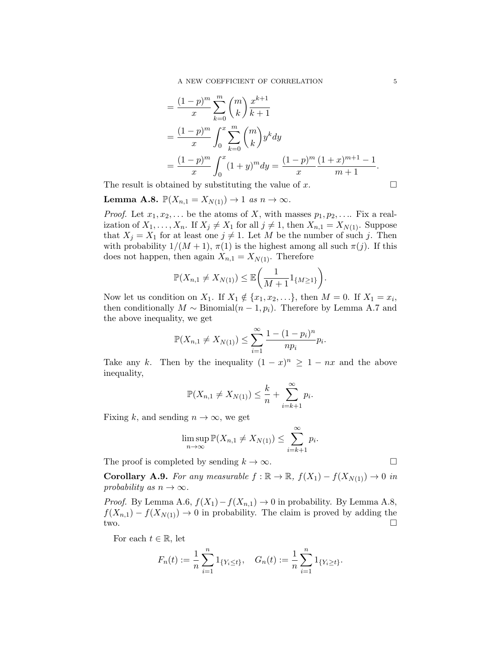$$
= \frac{(1-p)^m}{x} \sum_{k=0}^m {m \choose k} \frac{x^{k+1}}{k+1}
$$
  
= 
$$
\frac{(1-p)^m}{x} \int_0^x \sum_{k=0}^m {m \choose k} y^k dy
$$
  
= 
$$
\frac{(1-p)^m}{x} \int_0^x (1+y)^m dy = \frac{(1-p)^m}{x} \frac{(1+x)^{m+1} - 1}{m+1}.
$$

The result is obtained by substituting the value of x.  $\Box$ 

**Lemma A.8.** 
$$
\mathbb{P}(X_{n,1} = X_{N(1)}) \rightarrow 1
$$
 as  $n \rightarrow \infty$ .

*Proof.* Let  $x_1, x_2, \ldots$  be the atoms of X, with masses  $p_1, p_2, \ldots$  Fix a realization of  $X_1, \ldots, X_n$ . If  $X_j \neq X_1$  for all  $j \neq 1$ , then  $X_{n,1} = X_{N(1)}$ . Suppose that  $X_j = X_1$  for at least one  $j \neq 1$ . Let M be the number of such j. Then with probability  $1/(M + 1)$ ,  $\pi(1)$  is the highest among all such  $\pi(j)$ . If this does not happen, then again  $X_{n,1} = X_{N(1)}$ . Therefore

$$
\mathbb{P}(X_{n,1} \neq X_{N(1)}) \leq \mathbb{E}\bigg(\frac{1}{M+1}1_{\{M \geq 1\}}\bigg).
$$

Now let us condition on  $X_1$ . If  $X_1 \notin \{x_1, x_2, \ldots\}$ , then  $M = 0$ . If  $X_1 = x_i$ , then conditionally  $M \sim Binomial(n-1, p_i)$ . Therefore by Lemma A.7 and the above inequality, we get

$$
\mathbb{P}(X_{n,1} \neq X_{N(1)}) \leq \sum_{i=1}^{\infty} \frac{1 - (1 - p_i)^n}{np_i} p_i.
$$

Take any k. Then by the inequality  $(1-x)^n \geq 1 - nx$  and the above inequality,

$$
\mathbb{P}(X_{n,1} \neq X_{N(1)}) \leq \frac{k}{n} + \sum_{i=k+1}^{\infty} p_i.
$$

Fixing k, and sending  $n \to \infty$ , we get

$$
\limsup_{n \to \infty} \mathbb{P}(X_{n,1} \neq X_{N(1)}) \leq \sum_{i=k+1}^{\infty} p_i.
$$

The proof is completed by sending  $k \to \infty$ .

**Corollary A.9.** *For any measurable*  $f : \mathbb{R} \to \mathbb{R}$ ,  $f(X_1) - f(X_{N(1)}) \to 0$  *in probability as*  $n \to \infty$ *.* 

*Proof.* By Lemma A.6,  $f(X_1) - f(X_{n,1}) \to 0$  in probability. By Lemma A.8,  $f(X_{n,1}) - f(X_{N(1)}) \to 0$  in probability. The claim is proved by adding the two. two.  $\square$ 

For each  $t \in \mathbb{R}$ , let

$$
F_n(t) := \frac{1}{n} \sum_{i=1}^n 1_{\{Y_i \le t\}}, \quad G_n(t) := \frac{1}{n} \sum_{i=1}^n 1_{\{Y_i \ge t\}}.
$$

$$
\mathcal{L}_{\mathcal{A}}(x)
$$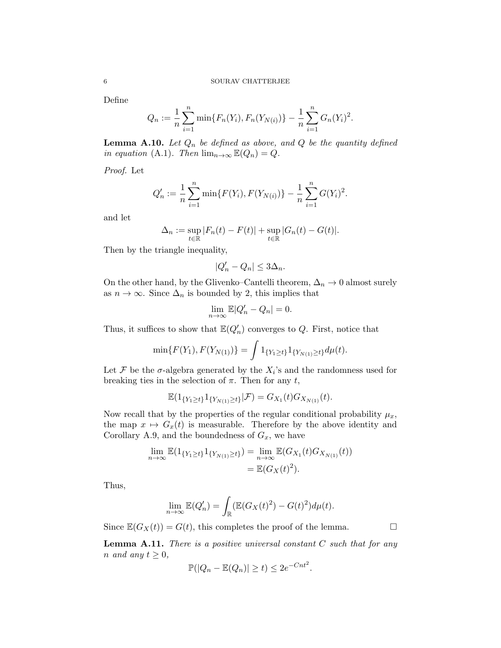Define

$$
Q_n := \frac{1}{n} \sum_{i=1}^n \min\{F_n(Y_i), F_n(Y_{N(i)})\} - \frac{1}{n} \sum_{i=1}^n G_n(Y_i)^2.
$$

**Lemma A.10.** Let  $Q_n$  be defined as above, and  $Q$  be the quantity defined *in equation* (A.1)*. Then*  $\lim_{n\to\infty} \mathbb{E}(Q_n) = Q$ *.* 

*Proof.* Let

$$
Q'_n := \frac{1}{n} \sum_{i=1}^n \min\{F(Y_i), F(Y_{N(i)})\} - \frac{1}{n} \sum_{i=1}^n G(Y_i)^2.
$$

and let

$$
\Delta_n := \sup_{t \in \mathbb{R}} |F_n(t) - F(t)| + \sup_{t \in \mathbb{R}} |G_n(t) - G(t)|.
$$

Then by the triangle inequality,

$$
|Q'_n - Q_n| \le 3\Delta_n.
$$

On the other hand, by the Glivenko–Cantelli theorem,  $\Delta_n \to 0$  almost surely as  $n \to \infty$ . Since  $\Delta_n$  is bounded by 2, this implies that

$$
\lim_{n \to \infty} \mathbb{E}|Q'_n - Q_n| = 0.
$$

Thus, it suffices to show that  $\mathbb{E}(Q'_n)$  converges to Q. First, notice that

$$
\min\{F(Y_1), F(Y_{N(1)})\} = \int 1_{\{Y_1 \ge t\}} 1_{\{Y_{N(1)} \ge t\}} d\mu(t).
$$

Let F be the  $\sigma$ -algebra generated by the  $X_i$ 's and the randomness used for breaking ties in the selection of  $\pi$ . Then for any  $t$ ,

$$
\mathbb{E}(\mathbf{1}_{\{Y_1 \geq t\}} \mathbf{1}_{\{Y_{N(1)} \geq t\}} | \mathcal{F}) = G_{X_1}(t) G_{X_{N(1)}}(t).
$$

Now recall that by the properties of the regular conditional probability  $\mu_x$ , the map  $x \mapsto G_x(t)$  is measurable. Therefore by the above identity and Corollary A.9, and the boundedness of  $G_x$ , we have

$$
\lim_{n \to \infty} \mathbb{E}(\mathbb{1}_{\{Y_1 \ge t\}} \mathbb{1}_{\{Y_{N(1)} \ge t\}}) = \lim_{n \to \infty} \mathbb{E}(G_{X_1}(t) G_{X_{N(1)}}(t))
$$
  
=  $\mathbb{E}(G_X(t)^2)$ .

Thus,

$$
\lim_{n \to \infty} \mathbb{E}(Q'_n) = \int_{\mathbb{R}} (\mathbb{E}(G_X(t)^2) - G(t)^2) d\mu(t).
$$

Since  $\mathbb{E}(G_X(t)) = G(t)$ , this completes the proof of the lemma.

Lemma A.11. *There is a positive universal constant* C *such that for any n* and any  $t \geq 0$ ,

$$
\mathbb{P}(|Q_n - \mathbb{E}(Q_n)| \ge t) \le 2e^{-Cnt^2}.
$$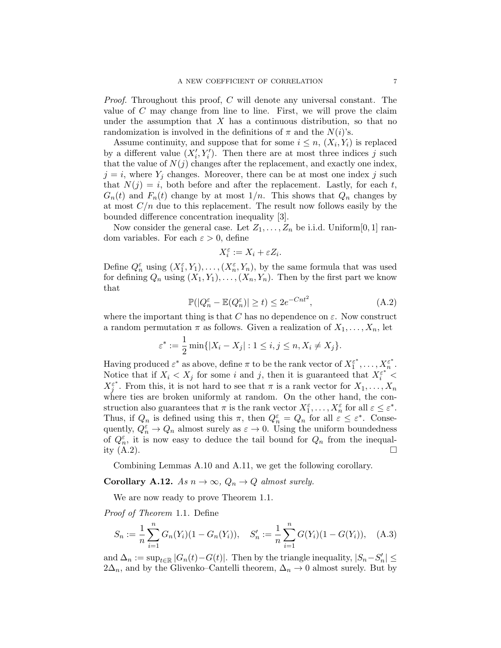*Proof.* Throughout this proof, C will denote any universal constant. The value of  $C$  may change from line to line. First, we will prove the claim under the assumption that  $X$  has a continuous distribution, so that no randomization is involved in the definitions of  $\pi$  and the  $N(i)$ 's.

Assume continuity, and suppose that for some  $i \leq n$ ,  $(X_i, Y_i)$  is replaced by a different value  $(X'_i, Y'_i)$ . Then there are at most three indices j such that the value of  $N(j)$  changes after the replacement, and exactly one index,  $j = i$ , where  $Y_j$  changes. Moreover, there can be at most one index j such that  $N(j) = i$ , both before and after the replacement. Lastly, for each t,  $G_n(t)$  and  $F_n(t)$  change by at most  $1/n$ . This shows that  $Q_n$  changes by at most  $C/n$  due to this replacement. The result now follows easily by the bounded difference concentration inequality [3].

Now consider the general case. Let  $Z_1, \ldots, Z_n$  be i.i.d. Uniform [0, 1] random variables. For each  $\varepsilon > 0$ , define

$$
X_i^{\varepsilon} := X_i + \varepsilon Z_i.
$$

Define  $Q_n^{\varepsilon}$  using  $(X_1^{\varepsilon}, Y_1), \ldots, (X_n^{\varepsilon}, Y_n)$ , by the same formula that was used for defining  $Q_n$  using  $(X_1, Y_1), \ldots, (X_n, Y_n)$ . Then by the first part we know that

$$
\mathbb{P}(|Q_n^{\varepsilon} - \mathbb{E}(Q_n^{\varepsilon})| \ge t) \le 2e^{-Cnt^2},\tag{A.2}
$$

where the important thing is that C has no dependence on  $\varepsilon$ . Now construct a random permutation  $\pi$  as follows. Given a realization of  $X_1, \ldots, X_n$ , let

$$
\varepsilon^* := \frac{1}{2} \min\{|X_i - X_j| : 1 \le i, j \le n, X_i \neq X_j\}.
$$

Having produced  $\varepsilon^*$  as above, define  $\pi$  to be the rank vector of  $X_1^{\varepsilon^*}$  $\zeta_1^{\varepsilon^*}, \ldots, X_n^{\varepsilon^*}$  $\frac{\varepsilon^*}{n}$  . Notice that if  $X_i < X_j$  for some i and j, then it is guaranteed that  $X_i^{\varepsilon^{*}}$  $X_j^{\varepsilon^*}$ . From this, it is not hard to see that  $\pi$  is a rank vector for  $X_1, \ldots, X_n$ where ties are broken uniformly at random. On the other hand, the construction also guarantees that  $\pi$  is the rank vector  $X_1^{\varepsilon}, \ldots, X_n^{\varepsilon}$  for all  $\varepsilon \leq \varepsilon^*$ . Thus, if  $Q_n$  is defined using this  $\pi$ , then  $Q_n^{\varepsilon} = Q_n$  for all  $\varepsilon \leq \varepsilon^*$ . Consequently,  $Q_n^{\varepsilon} \to Q_n$  almost surely as  $\varepsilon \to 0$ . Using the uniform boundedness of  $Q_n^{\varepsilon}$ , it is now easy to deduce the tail bound for  $Q_n$  from the inequality  $(A.2)$ .

Combining Lemmas A.10 and A.11, we get the following corollary.

## Corollary A.12. *As*  $n \to \infty$ ,  $Q_n \to Q$  *almost surely.*

We are now ready to prove Theorem 1.1.

*Proof of Theorem* 1.1*.* Define

$$
S_n := \frac{1}{n} \sum_{i=1}^n G_n(Y_i)(1 - G_n(Y_i)), \quad S'_n := \frac{1}{n} \sum_{i=1}^n G(Y_i)(1 - G(Y_i)), \quad (A.3)
$$

and  $\Delta_n := \sup_{t \in \mathbb{R}} |G_n(t) - G(t)|$ . Then by the triangle inequality,  $|S_n - S'_n| \le$  $2\Delta_n$ , and by the Glivenko–Cantelli theorem,  $\Delta_n \to 0$  almost surely. But by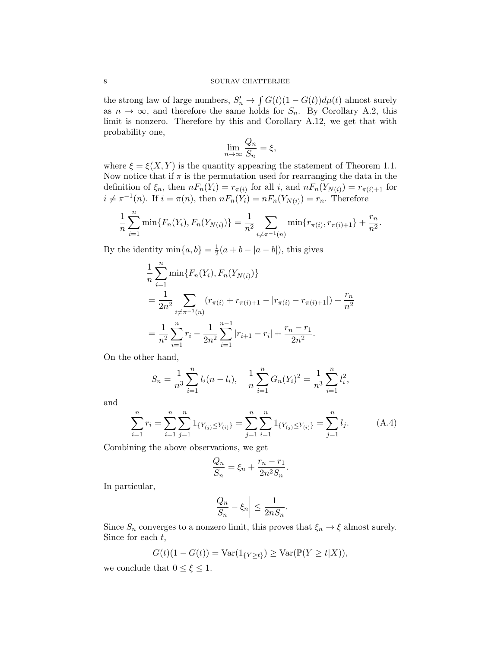### 8 SOURAV CHATTERJEE

the strong law of large numbers,  $S'_n \to \int G(t)(1 - G(t))d\mu(t)$  almost surely as  $n \to \infty$ , and therefore the same holds for  $S_n$ . By Corollary A.2, this limit is nonzero. Therefore by this and Corollary A.12, we get that with probability one,

$$
\lim_{n \to \infty} \frac{Q_n}{S_n} = \xi,
$$

where  $\xi = \xi(X, Y)$  is the quantity appearing the statement of Theorem 1.1. Now notice that if  $\pi$  is the permutation used for rearranging the data in the definition of  $\xi_n$ , then  $nF_n(Y_i) = r_{\pi(i)}$  for all i, and  $nF_n(Y_{N(i)}) = r_{\pi(i)+1}$  for  $i \neq \pi^{-1}(n)$ . If  $i = \pi(n)$ , then  $nF_n(Y_i) = nF_n(Y_{N(i)}) = r_n$ . Therefore

$$
\frac{1}{n}\sum_{i=1}^{n}\min\{F_n(Y_i), F_n(Y_{N(i)})\} = \frac{1}{n^2}\sum_{i\neq \pi^{-1}(n)}\min\{r_{\pi(i)}, r_{\pi(i)+1}\} + \frac{r_n}{n^2}.
$$

By the identity  $\min\{a, b\} = \frac{1}{2}$  $\frac{1}{2}(a + b - |a - b|)$ , this gives

$$
\frac{1}{n} \sum_{i=1}^{n} \min\{F_n(Y_i), F_n(Y_{N(i)})\}
$$
\n
$$
= \frac{1}{2n^2} \sum_{i \neq \pi^{-1}(n)} (r_{\pi(i)} + r_{\pi(i)+1} - |r_{\pi(i)} - r_{\pi(i)+1}|) + \frac{r_n}{n^2}
$$
\n
$$
= \frac{1}{n^2} \sum_{i=1}^{n} r_i - \frac{1}{2n^2} \sum_{i=1}^{n-1} |r_{i+1} - r_i| + \frac{r_n - r_1}{2n^2}.
$$

On the other hand,

$$
S_n = \frac{1}{n^3} \sum_{i=1}^n l_i(n - l_i), \quad \frac{1}{n} \sum_{i=1}^n G_n(Y_i)^2 = \frac{1}{n^3} \sum_{i=1}^n l_i^2,
$$

and

$$
\sum_{i=1}^{n} r_i = \sum_{i=1}^{n} \sum_{j=1}^{n} 1_{\{Y_{(j)} \le Y_{(i)}\}} = \sum_{j=1}^{n} \sum_{i=1}^{n} 1_{\{Y_{(j)} \le Y_{(i)}\}} = \sum_{j=1}^{n} l_j.
$$
 (A.4)

Combining the above observations, we get

$$
\frac{Q_n}{S_n} = \xi_n + \frac{r_n - r_1}{2n^2 S_n}.
$$

In particular,

$$
\left|\frac{Q_n}{S_n} - \xi_n\right| \le \frac{1}{2nS_n}.
$$

Since  $S_n$  converges to a nonzero limit, this proves that  $\xi_n \to \xi$  almost surely. Since for each  $t$ ,

$$
G(t)(1 - G(t)) = \text{Var}(1_{\{Y \ge t\}}) \ge \text{Var}(\mathbb{P}(Y \ge t | X)),
$$

we conclude that  $0 \leq \xi \leq 1$ .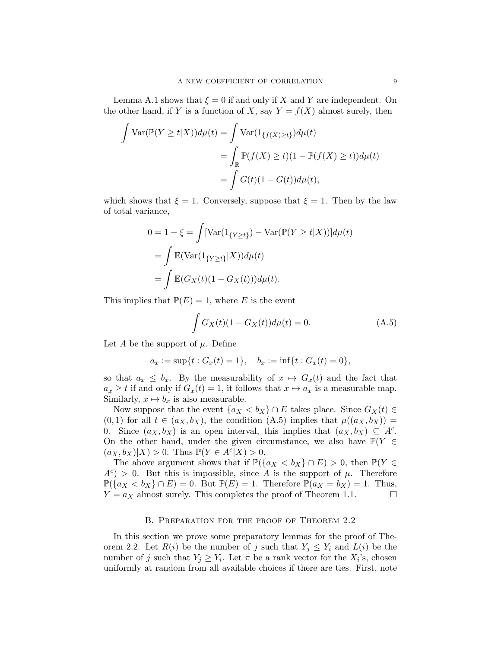Lemma A.1 shows that  $\xi = 0$  if and only if X and Y are independent. On the other hand, if Y is a function of X, say  $Y = f(X)$  almost surely, then

$$
\int \operatorname{Var}(\mathbb{P}(Y \ge t | X)) d\mu(t) = \int \operatorname{Var}(1_{\{f(X) \ge t\}}) d\mu(t)
$$

$$
= \int_{\mathbb{R}} \mathbb{P}(f(X) \ge t)(1 - \mathbb{P}(f(X) \ge t)) d\mu(t)
$$

$$
= \int G(t)(1 - G(t)) d\mu(t),
$$

which shows that  $\xi = 1$ . Conversely, suppose that  $\xi = 1$ . Then by the law of total variance,

$$
0 = 1 - \xi = \int [\text{Var}(1_{\{Y \ge t\}}) - \text{Var}(\mathbb{P}(Y \ge t | X))] d\mu(t)
$$
  
= 
$$
\int \mathbb{E}(\text{Var}(1_{\{Y \ge t\}} | X)) d\mu(t)
$$
  
= 
$$
\int \mathbb{E}(G_X(t)(1 - G_X(t))) d\mu(t).
$$

This implies that  $\mathbb{P}(E) = 1$ , where E is the event

$$
\int G_X(t)(1 - G_X(t))d\mu(t) = 0.
$$
 (A.5)

Let A be the support of  $\mu$ . Define

$$
a_x := \sup\{t : G_x(t) = 1\}, \quad b_x := \inf\{t : G_x(t) = 0\},\
$$

so that  $a_x \leq b_x$ . By the measurability of  $x \mapsto G_x(t)$  and the fact that  $a_x \geq t$  if and only if  $G_x(t) = 1$ , it follows that  $x \mapsto a_x$  is a measurable map. Similarly,  $x \mapsto b_x$  is also measurable.

Now suppose that the event  $\{a_X < b_X\} \cap E$  takes place. Since  $G_X(t) \in$  $(0, 1)$  for all  $t \in (a_X, b_X)$ , the condition  $(A.5)$  implies that  $\mu((a_X, b_X)) =$ 0. Since  $(a_X, b_X)$  is an open interval, this implies that  $(a_X, b_X) \subseteq A^c$ . On the other hand, under the given circumstance, we also have  $\mathbb{P}(Y \in$  $(a_X, b_X)|X) > 0$ . Thus  $\mathbb{P}(Y \in A^c|X) > 0$ .

The above argument shows that if  $\mathbb{P}(\{a_X < b_X\} \cap E) > 0$ , then  $\mathbb{P}(Y \in$  $A^c$  > 0. But this is impossible, since A is the support of  $\mu$ . Therefore  $\mathbb{P}(\{a_X < b_X\} \cap E) = 0$ . But  $\mathbb{P}(E) = 1$ . Therefore  $\mathbb{P}(a_X = b_X) = 1$ . Thus,  $Y = a_X$  almost surely. This completes the proof of Theorem 1.1. □  $Y = a_X$  almost surely. This completes the proof of Theorem 1.1.

#### B. PREPARATION FOR THE PROOF OF THEOREM 2.2

In this section we prove some preparatory lemmas for the proof of Theorem 2.2. Let  $R(i)$  be the number of j such that  $Y_i \leq Y_i$  and  $L(i)$  be the number of j such that  $Y_j \geq Y_i$ . Let  $\pi$  be a rank vector for the  $X_i$ 's, chosen uniformly at random from all available choices if there are ties. First, note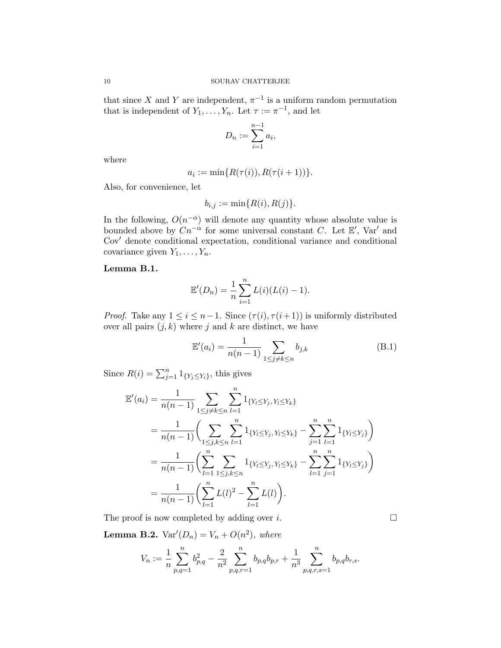that since X and Y are independent,  $\pi^{-1}$  is a uniform random permutation that is independent of  $Y_1, \ldots, Y_n$ . Let  $\tau := \pi^{-1}$ , and let

$$
D_n := \sum_{i=1}^{n-1} a_i,
$$

where

$$
a_i := \min\{R(\tau(i)), R(\tau(i+1))\}.
$$

Also, for convenience, let

$$
b_{i,j} := \min\{R(i), R(j)\}.
$$

In the following,  $O(n^{-\alpha})$  will denote any quantity whose absolute value is bounded above by  $Cn^{-\alpha}$  for some universal constant C. Let  $\mathbb{E}'$ , Var' and Cov′ denote conditional expectation, conditional variance and conditional covariance given  $Y_1, \ldots, Y_n$ .

## Lemma B.1.

$$
\mathbb{E}'(D_n) = \frac{1}{n} \sum_{i=1}^n L(i) (L(i) - 1).
$$

*Proof.* Take any  $1 \leq i \leq n-1$ . Since  $(\tau(i), \tau(i+1))$  is uniformly distributed over all pairs  $(j, k)$  where j and k are distinct, we have

$$
\mathbb{E}'(a_i) = \frac{1}{n(n-1)} \sum_{1 \le j \ne k \le n} b_{j,k}
$$
 (B.1)

Since  $R(i) = \sum_{j=1}^{n} 1_{\{Y_j \leq Y_i\}}$ , this gives

$$
\mathbb{E}'(a_i) = \frac{1}{n(n-1)} \sum_{1 \le j \ne k \le n} \sum_{l=1}^n 1_{\{Y_l \le Y_j, Y_l \le Y_k\}} \n= \frac{1}{n(n-1)} \Biggl( \sum_{1 \le j,k \le n} \sum_{l=1}^n 1_{\{Y_l \le Y_j, Y_l \le Y_k\}} - \sum_{j=1}^n \sum_{l=1}^n 1_{\{Y_l \le Y_j\}} \Biggr) \n= \frac{1}{n(n-1)} \Biggl( \sum_{l=1}^n \sum_{1 \le j,k \le n} 1_{\{Y_l \le Y_j, Y_l \le Y_k\}} - \sum_{l=1}^n \sum_{j=1}^n 1_{\{Y_l \le Y_j\}} \Biggr) \n= \frac{1}{n(n-1)} \Biggl( \sum_{l=1}^n L(l)^2 - \sum_{l=1}^n L(l) \Biggr).
$$

The proof is now completed by adding over *i*.  $\Box$ 

**Lemma B.2.**  $Var'(D_n) = V_n + O(n^2)$ , where

$$
V_n := \frac{1}{n} \sum_{p,q=1}^n b_{p,q}^2 - \frac{2}{n^2} \sum_{p,q,r=1}^n b_{p,q} b_{p,r} + \frac{1}{n^3} \sum_{p,q,r,s=1}^n b_{p,q} b_{r,s}.
$$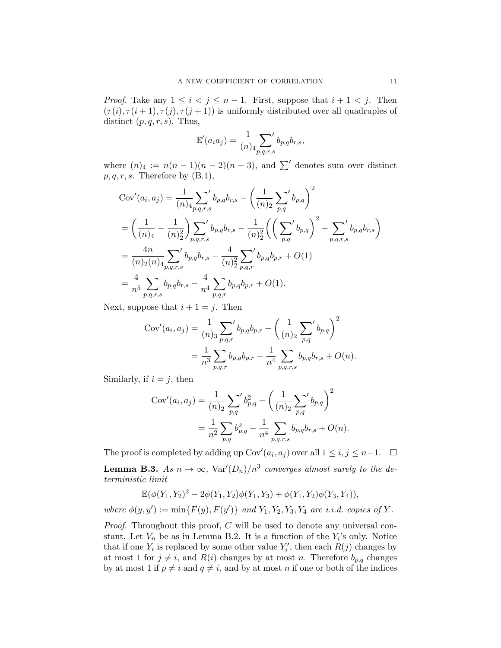*Proof.* Take any  $1 \leq i < j \leq n-1$ . First, suppose that  $i+1 < j$ . Then  $(\tau(i), \tau(i+1), \tau(j), \tau(j+1))$  is uniformly distributed over all quadruples of distinct  $(p, q, r, s)$ . Thus,

$$
\mathbb{E}'(a_i a_j) = \frac{1}{(n)_4} \sum_{p,q,r,s'} b_{p,q} b_{r,s},
$$

where  $(n)_4 := n(n-1)(n-2)(n-3)$ , and  $\sum'$  denotes sum over distinct  $p, q, r, s$ . Therefore by  $(B.1)$ ,

$$
\text{Cov}'(a_i, a_j) = \frac{1}{(n)_4} \sum_{p,q,r,s} b_{p,q} b_{r,s} - \left(\frac{1}{(n)_2} \sum_{p,q} b_{p,q}\right)^2
$$
  
=  $\left(\frac{1}{(n)_4} - \frac{1}{(n)_2^2}\right) \sum_{p,q,r,s} b_{p,q} b_{r,s} - \frac{1}{(n)_2^2} \left(\left(\sum_{p,q} b_{p,q}\right)^2 - \sum_{p,q,r,s} b_{p,q} b_{r,s}\right)$   
=  $\frac{4n}{(n)_2(n)_4} \sum_{p,q,r,s} b_{p,q} b_{r,s} - \frac{4}{(n)_2^2} \sum_{p,q,r} b_{p,q} b_{p,r} + O(1)$   
=  $\frac{4}{n^5} \sum_{p,q,r,s} b_{p,q} b_{r,s} - \frac{4}{n^4} \sum_{p,q,r} b_{p,q} b_{p,r} + O(1).$ 

Next, suppose that  $i + 1 = j$ . Then

$$
Cov'(a_i, a_j) = \frac{1}{(n)_3} \sum_{p,q,r} b_{p,q} b_{p,r} - \left(\frac{1}{(n)_2} \sum_{p,q} b_{p,q}\right)^2
$$
  
=  $\frac{1}{n^3} \sum_{p,q,r} b_{p,q} b_{p,r} - \frac{1}{n^4} \sum_{p,q,r,s} b_{p,q} b_{r,s} + O(n).$ 

Similarly, if  $i = j$ , then

$$
Cov'(a_i, a_j) = \frac{1}{(n)_2} \sum_{p,q} b_{p,q}^2 - \left(\frac{1}{(n)_2} \sum_{p,q} b_{p,q}\right)^2
$$
  
= 
$$
\frac{1}{n^2} \sum_{p,q} b_{p,q}^2 - \frac{1}{n^4} \sum_{p,q,r,s} b_{p,q} b_{r,s} + O(n).
$$

The proof is completed by adding up  $\text{Cov}'(a_i, a_j)$  over all  $1 \leq i, j \leq n-1$ .  $\Box$ 

**Lemma B.3.** *As*  $n \to \infty$ ,  $\text{Var}'(D_n)/n^3$  converges almost surely to the de*terministic limit*

$$
\mathbb{E}(\phi(Y_1, Y_2)^2 - 2\phi(Y_1, Y_2)\phi(Y_1, Y_3) + \phi(Y_1, Y_2)\phi(Y_3, Y_4)),
$$

*where*  $\phi(y, y') := \min\{F(y), F(y')\}$  *and*  $Y_1, Y_2, Y_3, Y_4$  *are i.i.d. copies of* Y.

*Proof.* Throughout this proof, C will be used to denote any universal constant. Let  $V_n$  be as in Lemma B.2. It is a function of the  $Y_i$ 's only. Notice that if one  $Y_i$  is replaced by some other value  $Y'_i$ , then each  $R(j)$  changes by at most 1 for  $j \neq i$ , and  $R(i)$  changes by at most n. Therefore  $b_{p,q}$  changes by at most 1 if  $p \neq i$  and  $q \neq i$ , and by at most n if one or both of the indices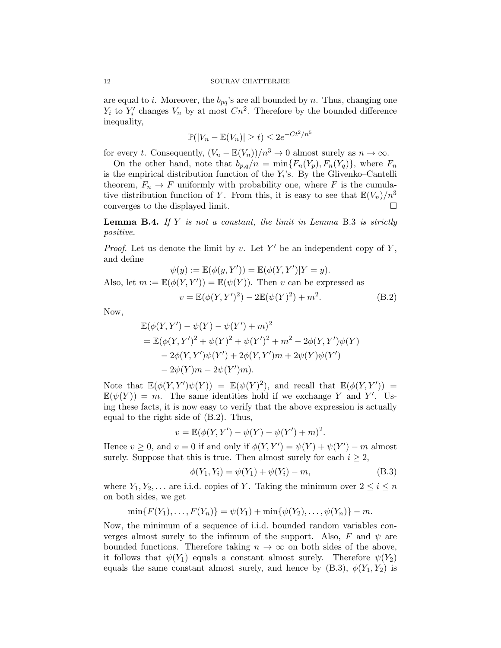are equal to i. Moreover, the  $b_{pq}$ 's are all bounded by n. Thus, changing one  $Y_i$  to  $Y'_i$  changes  $V_n$  by at most  $C_n^2$ . Therefore by the bounded difference inequality,

$$
\mathbb{P}(|V_n - \mathbb{E}(V_n)| \ge t) \le 2e^{-Ct^2/n^5}
$$

for every t. Consequently,  $(V_n - \mathbb{E}(V_n))/n^3 \to 0$  almost surely as  $n \to \infty$ .

On the other hand, note that  $b_{p,q}/n = \min\{F_n(Y_p), F_n(Y_q)\}\,$ , where  $F_n$ is the empirical distribution function of the  $Y_i$ 's. By the Glivenko–Cantelli theorem,  $F_n \to F$  uniformly with probability one, where F is the cumulative distribution function of Y. From this, it is easy to see that  $\mathbb{E}(V_n)/n^3$ converges to the displayed limit.

Lemma B.4. *If* Y *is not a constant, the limit in Lemma* B.3 *is strictly positive.*

*Proof.* Let us denote the limit by v. Let  $Y'$  be an independent copy of  $Y$ , and define

$$
\psi(y) := \mathbb{E}(\phi(y, Y')) = \mathbb{E}(\phi(Y, Y')|Y = y).
$$
  
Also, let  $m := \mathbb{E}(\phi(Y, Y')) = \mathbb{E}(\psi(Y)).$  Then v can be expressed as

 $v = \mathbb{E}(\phi(Y, Y')^2) - 2\mathbb{E}(\psi(Y)^2) + m^2$  $(B.2)$ 

Now,

$$
\mathbb{E}(\phi(Y, Y') - \psi(Y) - \psi(Y') + m)^2
$$
  
=  $\mathbb{E}(\phi(Y, Y')^2 + \psi(Y)^2 + \psi(Y')^2 + m^2 - 2\phi(Y, Y')\psi(Y) - 2\phi(Y, Y')\psi(Y') + 2\phi(Y, Y')m + 2\psi(Y)\psi(Y') - 2\psi(Y)m - 2\psi(Y')m).$ 

Note that  $\mathbb{E}(\phi(Y,Y')\psi(Y)) = \mathbb{E}(\psi(Y)^2)$ , and recall that  $\mathbb{E}(\phi(Y,Y')) =$  $\mathbb{E}(\psi(Y)) = m$ . The same identities hold if we exchange Y and Y'. Using these facts, it is now easy to verify that the above expression is actually equal to the right side of (B.2). Thus,

$$
v = \mathbb{E}(\phi(Y, Y') - \psi(Y) - \psi(Y') + m)^2.
$$

Hence  $v \ge 0$ , and  $v = 0$  if and only if  $\phi(Y, Y') = \psi(Y) + \psi(Y') - m$  almost surely. Suppose that this is true. Then almost surely for each  $i \geq 2$ ,

$$
\phi(Y_1, Y_i) = \psi(Y_1) + \psi(Y_i) - m,
$$
\n(B.3)

where  $Y_1, Y_2, \ldots$  are i.i.d. copies of Y. Taking the minimum over  $2 \leq i \leq n$ on both sides, we get

$$
\min\{F(Y_1),\ldots,F(Y_n)\}=\psi(Y_1)+\min\{\psi(Y_2),\ldots,\psi(Y_n)\}-m.
$$

Now, the minimum of a sequence of i.i.d. bounded random variables converges almost surely to the infimum of the support. Also, F and  $\psi$  are bounded functions. Therefore taking  $n \to \infty$  on both sides of the above, it follows that  $\psi(Y_1)$  equals a constant almost surely. Therefore  $\psi(Y_2)$ equals the same constant almost surely, and hence by  $(B.3)$ ,  $\phi(Y_1, Y_2)$  is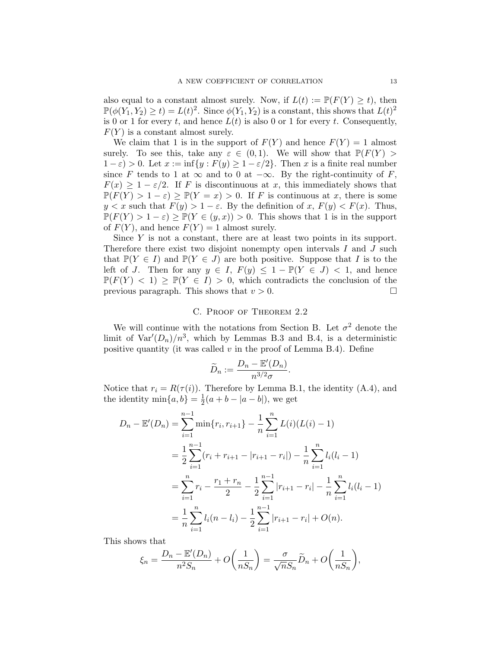also equal to a constant almost surely. Now, if  $L(t) := \mathbb{P}(F(Y) > t)$ , then  $\mathbb{P}(\phi(Y_1, Y_2) \ge t) = L(t)^2$ . Since  $\phi(Y_1, Y_2)$  is a constant, this shows that  $L(t)^2$ is 0 or 1 for every t, and hence  $L(t)$  is also 0 or 1 for every t. Consequently,  $F(Y)$  is a constant almost surely.

We claim that 1 is in the support of  $F(Y)$  and hence  $F(Y) = 1$  almost surely. To see this, take any  $\varepsilon \in (0,1)$ . We will show that  $\mathbb{P}(F(Y))$  $1 - \varepsilon$ ) > 0. Let  $x := \inf\{y : F(y) \ge 1 - \varepsilon/2\}$ . Then x is a finite real number since F tends to 1 at  $\infty$  and to 0 at  $-\infty$ . By the right-continuity of F,  $F(x) \geq 1 - \varepsilon/2$ . If F is discontinuous at x, this immediately shows that  $\mathbb{P}(F(Y) > 1 - \varepsilon) \geq \mathbb{P}(Y = x) > 0$ . If F is continuous at x, there is some  $y < x$  such that  $F(y) > 1 - \varepsilon$ . By the definition of x,  $F(y) < F(x)$ . Thus,  $\mathbb{P}(F(Y) > 1 - \varepsilon) \geq \mathbb{P}(Y \in (y, x)) > 0$ . This shows that 1 is in the support of  $F(Y)$ , and hence  $F(Y) = 1$  almost surely.

Since  $Y$  is not a constant, there are at least two points in its support. Therefore there exist two disjoint nonempty open intervals  $I$  and  $J$  such that  $\mathbb{P}(Y \in I)$  and  $\mathbb{P}(Y \in J)$  are both positive. Suppose that I is to the left of J. Then for any  $y \in I$ ,  $F(y) \leq 1 - \mathbb{P}(Y \in J) < 1$ , and hence  $\mathbb{P}(F(Y) < 1) \ge \mathbb{P}(Y \in I) > 0$ , which contradicts the conclusion of the previous paragraph. This shows that  $v > 0$ . previous paragraph. This shows that  $v > 0$ .

### C. Proof of Theorem 2.2

We will continue with the notations from Section B. Let  $\sigma^2$  denote the limit of  $\text{Var}'(D_n)/n^3$ , which by Lemmas B.3 and B.4, is a deterministic positive quantity (it was called  $v$  in the proof of Lemma B.4). Define

$$
\widetilde{D}_n := \frac{D_n - \mathbb{E}'(D_n)}{n^{3/2}\sigma}.
$$

Notice that  $r_i = R(\tau(i))$ . Therefore by Lemma B.1, the identity (A.4), and the identity  $\min\{a, b\} = \frac{1}{2}$  $\frac{1}{2}(a + b - |a - b|)$ , we get

$$
D_n - \mathbb{E}'(D_n) = \sum_{i=1}^{n-1} \min\{r_i, r_{i+1}\} - \frac{1}{n} \sum_{i=1}^n L(i)(L(i) - 1)
$$
  
= 
$$
\frac{1}{2} \sum_{i=1}^{n-1} (r_i + r_{i+1} - |r_{i+1} - r_i|) - \frac{1}{n} \sum_{i=1}^n l_i(l_i - 1)
$$
  
= 
$$
\sum_{i=1}^n r_i - \frac{r_1 + r_n}{2} - \frac{1}{2} \sum_{i=1}^{n-1} |r_{i+1} - r_i| - \frac{1}{n} \sum_{i=1}^n l_i(l_i - 1)
$$
  
= 
$$
\frac{1}{n} \sum_{i=1}^n l_i(n - l_i) - \frac{1}{2} \sum_{i=1}^{n-1} |r_{i+1} - r_i| + O(n).
$$

This shows that

$$
\xi_n = \frac{D_n - \mathbb{E}'(D_n)}{n^2 S_n} + O\left(\frac{1}{n S_n}\right) = \frac{\sigma}{\sqrt{n} S_n} \widetilde{D}_n + O\left(\frac{1}{n S_n}\right),
$$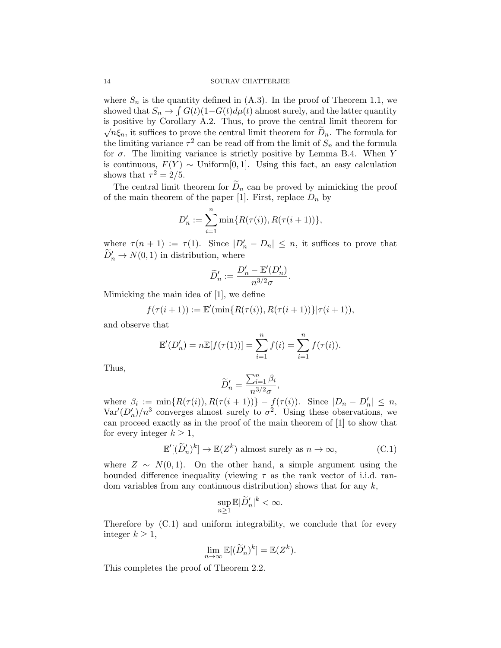where  $S_n$  is the quantity defined in  $(A.3)$ . In the proof of Theorem 1.1, we showed that  $S_n \to \int G(t)(1-G(t)d\mu(t))$  almost surely, and the latter quantity is positive by Corollary A.2. Thus, to prove the central limit theorem for  $\sqrt{n}\xi_n$ , it suffices to prove the central limit theorem for  $\widetilde{D}_n$ . The formula for the limiting variance  $\tau^2$  can be read off from the limit of  $S_n$  and the formula for  $\sigma$ . The limiting variance is strictly positive by Lemma B.4. When Y is continuous,  $F(Y) \sim$  Uniform[0, 1]. Using this fact, an easy calculation shows that  $\tau^2 = 2/5$ .

The central limit theorem for  $\widetilde{D}_n$  can be proved by mimicking the proof of the main theorem of the paper [1]. First, replace  $D_n$  by

$$
D'_n := \sum_{i=1}^n \min\{R(\tau(i)), R(\tau(i+1))\},\,
$$

where  $\tau(n+1) := \tau(1)$ . Since  $|D'_n - D_n| \leq n$ , it suffices to prove that  $\widetilde{D}'_n \to N(0, 1)$  in distribution, where

$$
\widetilde{D}'_n := \frac{D'_n - \mathbb{E}'(D'_n)}{n^{3/2}\sigma}
$$

.

Mimicking the main idea of [1], we define

$$
f(\tau(i+1)) := \mathbb{E}'(\min\{R(\tau(i)), R(\tau(i+1))\}|\tau(i+1)),
$$

and observe that

$$
\mathbb{E}'(D'_n) = n\mathbb{E}[f(\tau(1))] = \sum_{i=1}^n f(i) = \sum_{i=1}^n f(\tau(i)).
$$

Thus,

$$
\widetilde{D}'_n = \frac{\sum_{i=1}^n \beta_i}{n^{3/2} \sigma},
$$

where  $\beta_i := \min\{R(\tau(i)), R(\tau(i+1))\} - f(\tau(i))$ . Since  $|D_n - D'_n| \leq n$ ,  $\text{Var}'(D'_n)/n^3$  converges almost surely to  $\sigma^2$ . Using these observations, we can proceed exactly as in the proof of the main theorem of [1] to show that for every integer  $k \geq 1$ ,

$$
\mathbb{E}'[(\widetilde{D}'_n)^k] \to \mathbb{E}(Z^k) \text{ almost surely as } n \to \infty,
$$
 (C.1)

where  $Z \sim N(0, 1)$ . On the other hand, a simple argument using the bounded difference inequality (viewing  $\tau$  as the rank vector of i.i.d. random variables from any continuous distribution) shows that for any  $k$ ,

$$
\sup_{n\geq 1}\mathbb{E}|\widetilde{D}'_n|^k<\infty.
$$

Therefore by (C.1) and uniform integrability, we conclude that for every integer  $k \geq 1$ ,

$$
\lim_{n \to \infty} \mathbb{E}[(\widetilde{D}'_n)^k] = \mathbb{E}(Z^k).
$$

This completes the proof of Theorem 2.2.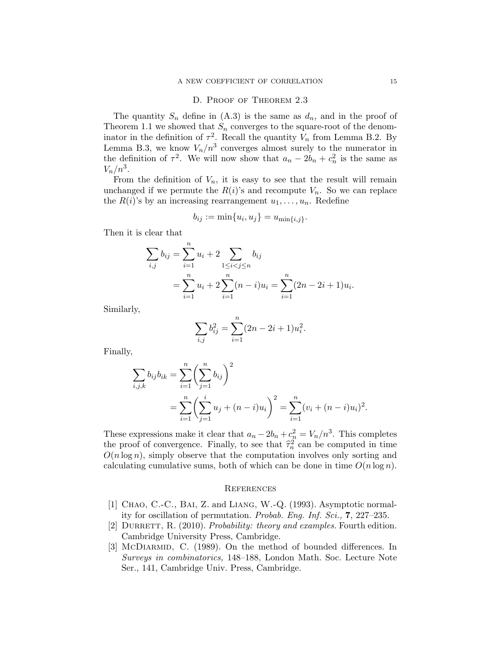### D. Proof of Theorem 2.3

The quantity  $S_n$  define in  $(A.3)$  is the same as  $d_n$ , and in the proof of Theorem 1.1 we showed that  $S_n$  converges to the square-root of the denominator in the definition of  $\tau^2$ . Recall the quantity  $V_n$  from Lemma B.2. By Lemma B.3, we know  $V_n/n^3$  converges almost surely to the numerator in the definition of  $\tau^2$ . We will now show that  $a_n - 2b_n + c_n^2$  is the same as  $V_n/n^3$ .

From the definition of  $V_n$ , it is easy to see that the result will remain unchanged if we permute the  $R(i)$ 's and recompute  $V_n$ . So we can replace the  $R(i)$ 's by an increasing rearrangement  $u_1, \ldots, u_n$ . Redefine

$$
b_{ij} := \min\{u_i, u_j\} = u_{\min\{i,j\}}.
$$

Then it is clear that

$$
\sum_{i,j} b_{ij} = \sum_{i=1}^n u_i + 2 \sum_{1 \le i < j \le n} b_{ij}
$$
\n
$$
= \sum_{i=1}^n u_i + 2 \sum_{i=1}^n (n-i) u_i = \sum_{i=1}^n (2n - 2i + 1) u_i.
$$

Similarly,

$$
\sum_{i,j} b_{ij}^2 = \sum_{i=1}^n (2n - 2i + 1)u_i^2.
$$

Finally,

$$
\sum_{i,j,k} b_{ij} b_{ik} = \sum_{i=1}^n \left(\sum_{j=1}^n b_{ij}\right)^2
$$
  
= 
$$
\sum_{i=1}^n \left(\sum_{j=1}^i u_j + (n-i)u_i\right)^2 = \sum_{i=1}^n (v_i + (n-i)u_i)^2.
$$

These expressions make it clear that  $a_n - 2b_n + c_n^2 = V_n/n^3$ . This completes the proof of convergence. Finally, to see that  $\hat{\tau}_n^2$  can be computed in time  $O(n \log n)$ , simply observe that the computation involves only sorting and calculating cumulative sums, both of which can be done in time  $O(n \log n)$ .

#### **REFERENCES**

- [1] Chao, C.-C., Bai, Z. and Liang, W.-Q. (1993). Asymptotic normality for oscillation of permutation. *Probab. Eng. Inf. Sci.,* 7, 227–235.
- [2] DURRETT, R. (2010). *Probability: theory and examples*. Fourth edition. Cambridge University Press, Cambridge.
- [3] McDIARMID, C. (1989). On the method of bounded differences. In *Surveys in combinatorics,* 148–188, London Math. Soc. Lecture Note Ser., 141, Cambridge Univ. Press, Cambridge.